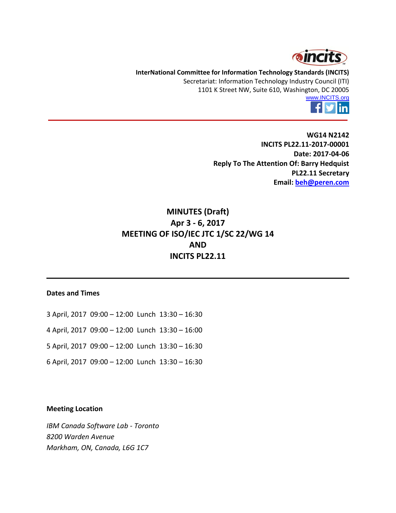

**InterNational Committee for Information Technology Standards (INCITS)** Secretariat: Information Technology Industry Council (ITI) 1101 K Street NW, Suite 610, Washington, DC 20005



**WG14 N2142 INCITS PL22.11-2017-00001 Date: 2017-04-06 Reply To The Attention Of: Barry Hedquist PL22.11 Secretary Email: [beh@peren.com](mailto:beh@peren.com)**

# **MINUTES (Draft) Apr 3 - 6, 2017 MEETING OF ISO/IEC JTC 1/SC 22/WG 14 AND INCITS PL22.11**

#### **Dates and Times**

- 3 April, 2017 09:00 12:00 Lunch 13:30 16:30
- 4 April, 2017 09:00 12:00 Lunch 13:30 16:00
- 5 April, 2017 09:00 12:00 Lunch 13:30 16:30
- 6 April, 2017 09:00 12:00 Lunch 13:30 16:30

#### **Meeting Location**

*IBM Canada Software Lab - Toronto 8200 Warden Avenue Markham, ON, Canada, L6G 1C7*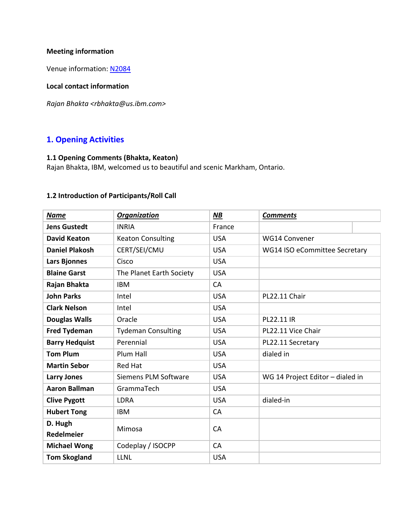## **Meeting information**

Venue information: [N2084](http://www.open-std.org/jtc1/sc22/wg14/www/docs/n2084.htm)

## **Local contact information**

*Rajan Bhakta <rbhakta@us.ibm.com>*

# **1. Opening Activities**

# **1.1 Opening Comments (Bhakta, Keaton)**

Rajan Bhakta, IBM, welcomed us to beautiful and scenic Markham, Ontario.

# **1.2 Introduction of Participants/Roll Call**

| <b>Name</b>           | <b>Organization</b>       | <b>NB</b>  | <b>Comments</b>                  |  |
|-----------------------|---------------------------|------------|----------------------------------|--|
| <b>Jens Gustedt</b>   | <b>INRIA</b>              | France     |                                  |  |
| <b>David Keaton</b>   | <b>Keaton Consulting</b>  | <b>USA</b> | <b>WG14 Convener</b>             |  |
| <b>Daniel Plakosh</b> | CERT/SEI/CMU              | <b>USA</b> | WG14 ISO eCommittee Secretary    |  |
| Lars Bjonnes          | Cisco                     | <b>USA</b> |                                  |  |
| <b>Blaine Garst</b>   | The Planet Earth Society  | <b>USA</b> |                                  |  |
| Rajan Bhakta          | <b>IBM</b>                | CA         |                                  |  |
| <b>John Parks</b>     | Intel                     | <b>USA</b> | PL22.11 Chair                    |  |
| <b>Clark Nelson</b>   | Intel                     | <b>USA</b> |                                  |  |
| <b>Douglas Walls</b>  | Oracle                    | <b>USA</b> | PL22.11 IR                       |  |
| <b>Fred Tydeman</b>   | <b>Tydeman Consulting</b> | <b>USA</b> | PL22.11 Vice Chair               |  |
| <b>Barry Hedquist</b> | Perennial                 | <b>USA</b> | PL22.11 Secretary                |  |
| <b>Tom Plum</b>       | Plum Hall                 | <b>USA</b> | dialed in                        |  |
| <b>Martin Sebor</b>   | <b>Red Hat</b>            | <b>USA</b> |                                  |  |
| <b>Larry Jones</b>    | Siemens PLM Software      | <b>USA</b> | WG 14 Project Editor - dialed in |  |
| <b>Aaron Ballman</b>  | GrammaTech                | <b>USA</b> |                                  |  |
| <b>Clive Pygott</b>   | <b>LDRA</b>               | <b>USA</b> | dialed-in                        |  |
| <b>Hubert Tong</b>    | <b>IBM</b>                | CA         |                                  |  |
| D. Hugh               | Mimosa                    | CA         |                                  |  |
| <b>Redelmeier</b>     |                           |            |                                  |  |
| <b>Michael Wong</b>   | Codeplay / ISOCPP         | CA         |                                  |  |
| <b>Tom Skogland</b>   | <b>LLNL</b>               | <b>USA</b> |                                  |  |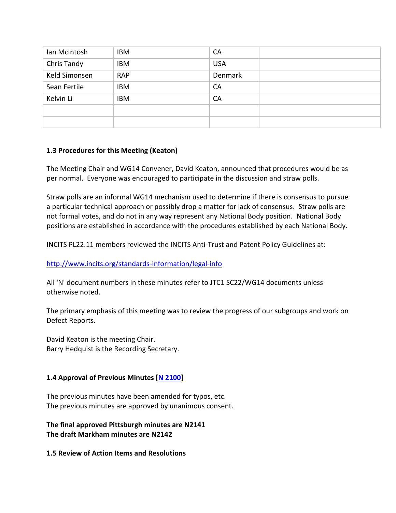| Ian McIntosh  | IBM        | <b>CA</b>  |  |
|---------------|------------|------------|--|
| Chris Tandy   | IBM        | <b>USA</b> |  |
| Keld Simonsen | <b>RAP</b> | Denmark    |  |
| Sean Fertile  | IBM        | <b>CA</b>  |  |
| Kelvin Li     | <b>IBM</b> | CA         |  |
|               |            |            |  |
|               |            |            |  |

### **1.3 Procedures for this Meeting (Keaton)**

The Meeting Chair and WG14 Convener, David Keaton, announced that procedures would be as per normal. Everyone was encouraged to participate in the discussion and straw polls.

Straw polls are an informal WG14 mechanism used to determine if there is consensus to pursue a particular technical approach or possibly drop a matter for lack of consensus. Straw polls are not formal votes, and do not in any way represent any National Body position. National Body positions are established in accordance with the procedures established by each National Body.

INCITS PL22.11 members reviewed the INCITS Anti-Trust and Patent Policy Guidelines at:

# <http://www.incits.org/standards-information/legal-info>

All 'N' document numbers in these minutes refer to JTC1 SC22/WG14 documents unless otherwise noted.

The primary emphasis of this meeting was to review the progress of our subgroups and work on Defect Reports.

David Keaton is the meeting Chair. Barry Hedquist is the Recording Secretary.

# **1.4 Approval of Previous Minutes [\[N 2100\]](http://www.open-std.org/jtc1/sc22/wg14/www/docs/n2100.pdf)**

The previous minutes have been amended for typos, etc. The previous minutes are approved by unanimous consent.

**The final approved Pittsburgh minutes are N2141 The draft Markham minutes are N2142**

**1.5 Review of Action Items and Resolutions**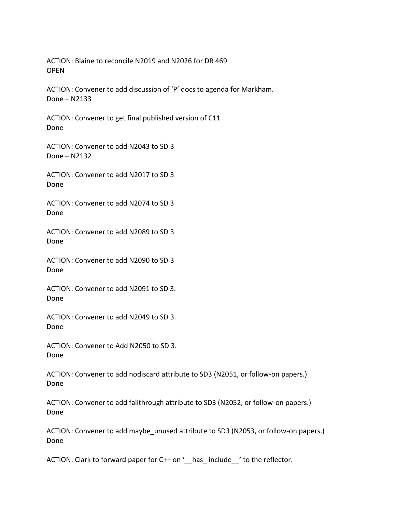ACTION: Blaine to reconcile N2019 and N2026 for DR 469 **OPFN** 

ACTION: Convener to add discussion of 'P' docs to agenda for Markham. Done – N2133

ACTION: Convener to get final published version of C11 Done

ACTION: Convener to add N2043 to SD 3 Done – N2132

ACTION: Convener to add N2017 to SD 3 Done

ACTION: Convener to add N2074 to SD 3 Done

ACTION: Convener to add N2089 to SD 3 Done

ACTION: Convener to add N2090 to SD 3 Done

ACTION: Convener to add N2091 to SD 3. Done

ACTION: Convener to add N2049 to SD 3. Done

ACTION: Convener to Add N2050 to SD 3. Done

ACTION: Convener to add nodiscard attribute to SD3 (N2051, or follow-on papers.) Done

ACTION: Convener to add fallthrough attribute to SD3 (N2052, or follow-on papers.) Done

ACTION: Convener to add maybe\_unused attribute to SD3 (N2053, or follow-on papers.) Done

ACTION: Clark to forward paper for C++ on '\_\_has\_ include\_\_\_' to the reflector.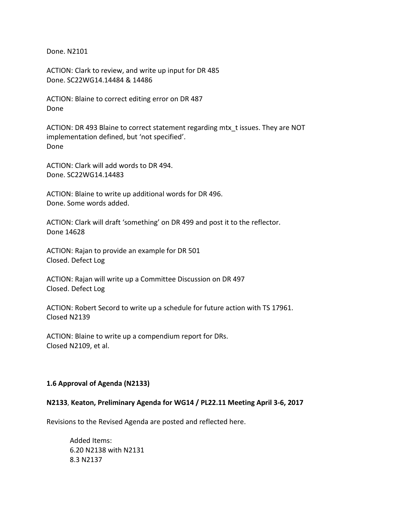Done. N2101

ACTION: Clark to review, and write up input for DR 485 Done. SC22WG14.14484 & 14486

ACTION: Blaine to correct editing error on DR 487 Done

ACTION: DR 493 Blaine to correct statement regarding mtx\_t issues. They are NOT implementation defined, but 'not specified'. Done

ACTION: Clark will add words to DR 494. Done. SC22WG14.14483

ACTION: Blaine to write up additional words for DR 496. Done. Some words added.

ACTION: Clark will draft 'something' on DR 499 and post it to the reflector. Done 14628

ACTION: Rajan to provide an example for DR 501 Closed. Defect Log

ACTION: Rajan will write up a Committee Discussion on DR 497 Closed. Defect Log

ACTION: Robert Secord to write up a schedule for future action with TS 17961. Closed N2139

ACTION: Blaine to write up a compendium report for DRs. Closed N2109, et al.

#### **1.6 Approval of Agenda (N2133)**

#### **N2133**, **Keaton, Preliminary Agenda for WG14 / PL22.11 Meeting April 3-6, 2017**

Revisions to the Revised Agenda are posted and reflected here.

Added Items: 6.20 N2138 with N2131 8.3 N2137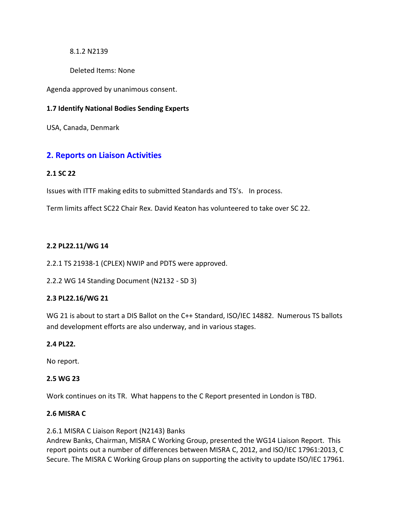#### 8.1.2 N2139

Deleted Items: None

Agenda approved by unanimous consent.

## **1.7 Identify National Bodies Sending Experts**

USA, Canada, Denmark

# **2. Reports on Liaison Activities**

### **2.1 SC 22**

Issues with ITTF making edits to submitted Standards and TS's. In process.

Term limits affect SC22 Chair Rex. David Keaton has volunteered to take over SC 22.

### **2.2 PL22.11/WG 14**

2.2.1 TS 21938-1 (CPLEX) NWIP and PDTS were approved.

2.2.2 WG 14 Standing Document (N2132 - SD 3)

# **2.3 PL22.16/WG 21**

WG 21 is about to start a DIS Ballot on the C++ Standard, ISO/IEC 14882. Numerous TS ballots and development efforts are also underway, and in various stages.

# **2.4 PL22.**

No report.

#### **2.5 WG 23**

Work continues on its TR. What happens to the C Report presented in London is TBD.

### **2.6 MISRA C**

2.6.1 MISRA C Liaison Report (N2143) Banks

Andrew Banks, Chairman, MISRA C Working Group, presented the WG14 Liaison Report. This report points out a number of differences between MISRA C, 2012, and ISO/IEC 17961:2013, C Secure. The MISRA C Working Group plans on supporting the activity to update ISO/IEC 17961.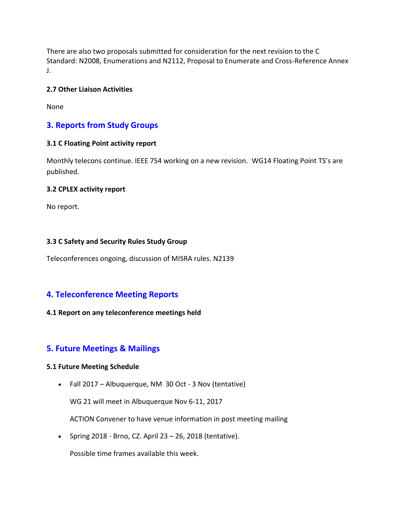There are also two proposals submitted for consideration for the next revision to the C Standard: N2008, Enumerations and N2112, Proposal to Enumerate and Cross-Reference Annex J.

## **2.7 Other Liaison Activities**

None

# **3. Reports from Study Groups**

### **3.1 C Floating Point activity report**

Monthly telecons continue. IEEE 754 working on a new revision. WG14 Floating Point TS's are published.

#### **3.2 CPLEX activity report**

No report.

### **3.3 C Safety and Security Rules Study Group**

Teleconferences ongoing, discussion of MISRA rules. N2139

# **4. Teleconference Meeting Reports**

# **4.1 Report on any teleconference meetings held**

# **5. Future Meetings & Mailings**

# **5.1 Future Meeting Schedule**

Fall 2017 – Albuquerque, NM 30 Oct - 3 Nov (tentative)

WG 21 will meet in Albuquerque Nov 6-11, 2017

ACTION Convener to have venue information in post meeting mailing

• Spring 2018 - Brno, CZ. April  $23 - 26$ , 2018 (tentative).

Possible time frames available this week.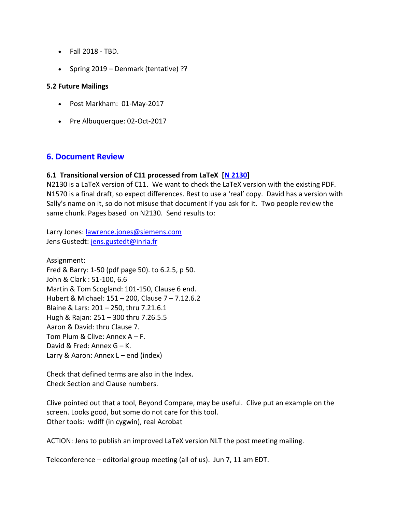- Fall 2018 TBD.
- Spring 2019 Denmark (tentative) ??

#### **5.2 Future Mailings**

- Post Markham: 01-May-2017
- Pre Albuquerque: 02-Oct-2017

# **6. Document Review**

### **6.1 Transitional version of C11 processed from LaTeX [\[N 2130\]](http://www.open-std.org/jtc1/sc22/wg14/www/docs/n2130.pdf)**

N2130 is a LaTeX version of C11. We want to check the LaTeX version with the existing PDF. N1570 is a final draft, so expect differences. Best to use a 'real' copy. David has a version with Sally's name on it, so do not misuse that document if you ask for it. Two people review the same chunk. Pages based on N2130. Send results to:

Larry Jones: [lawrence.jones@siemens.com](mailto:lawrence.jones@siemens.com) Jens Gustedt: [jens.gustedt@inria.fr](mailto:jens.gustedt@inria.fr)

Assignment: Fred & Barry: 1-50 (pdf page 50). to 6.2.5, p 50. John & Clark : 51-100, 6.6 Martin & Tom Scogland: 101-150, Clause 6 end. Hubert & Michael: 151 – 200, Clause 7 – 7.12.6.2 Blaine & Lars: 201 – 250, thru 7.21.6.1 Hugh & Rajan: 251 – 300 thru 7.26.5.5 Aaron & David: thru Clause 7. Tom Plum & Clive: Annex A – F. David & Fred: Annex G – K. Larry & Aaron: Annex L – end (index)

Check that defined terms are also in the Index. Check Section and Clause numbers.

Clive pointed out that a tool, Beyond Compare, may be useful. Clive put an example on the screen. Looks good, but some do not care for this tool. Other tools: wdiff (in cygwin), real Acrobat

ACTION: Jens to publish an improved LaTeX version NLT the post meeting mailing.

Teleconference – editorial group meeting (all of us). Jun 7, 11 am EDT.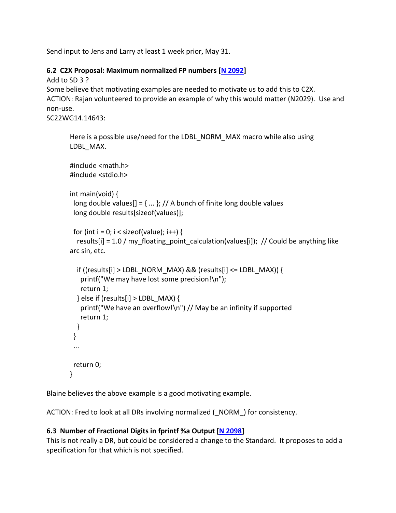Send input to Jens and Larry at least 1 week prior, May 31.

# **6.2 C2X Proposal: Maximum normalized FP numbers [\[N 2092\]](http://www.open-std.org/jtc1/sc22/wg14/www/docs/n2092.htm)**

Add to SD 3 ?

Some believe that motivating examples are needed to motivate us to add this to C2X. ACTION: Rajan volunteered to provide an example of why this would matter (N2029). Use and non-use.

SC22WG14.14643:

```
Here is a possible use/need for the LDBL_NORM_MAX macro while also using 
LDBL_MAX.
#include <math.h>
#include <stdio.h>
int main(void) {
long double values[] = \{ ... \}; // A bunch of finite long double values
 long double results[sizeof(values)];
 for (int i = 0; i < sizeof(value); i++) {
  results[i] = 1.0 / my_floating_point_calculation(values[i]); // Could be anything like
arc sin, etc.
  if ((results[i] > LDBL_NORM_MAX) && (results[i] <= LDBL_MAX)) {
   printf("We may have lost some precision!\n");
   return 1;
  } else if (results[i] > LDBL MAX) {
   printf("We have an overflow!\n") // May be an infinity if supported
   return 1;
  }
 }
 ...
return 0;
}
```
Blaine believes the above example is a good motivating example.

ACTION: Fred to look at all DRs involving normalized (\_NORM\_) for consistency.

# **6.3 Number of Fractional Digits in fprintf %a Output [\[N 2098\]](http://www.open-std.org/jtc1/sc22/wg14/www/docs/n2098.htm)**

This is not really a DR, but could be considered a change to the Standard. It proposes to add a specification for that which is not specified.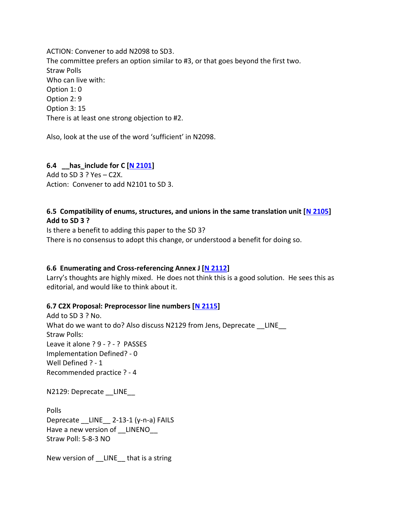ACTION: Convener to add N2098 to SD3. The committee prefers an option similar to #3, or that goes beyond the first two. Straw Polls Who can live with: Option 1: 0 Option 2: 9 Option 3: 15 There is at least one strong objection to #2.

Also, look at the use of the word 'sufficient' in N2098.

# **6.4 \_\_has\_include for C [\[N 2101\]](http://www.open-std.org/jtc1/sc22/wg14/www/docs/n2101.htm)**

Add to SD 3 ? Yes – C2X. Action: Convener to add N2101 to SD 3.

## **6.5 Compatibility of enums, structures, and unions in the same translation unit [\[N 2105\]](http://www.open-std.org/jtc1/sc22/wg14/www/docs/n2105.htm) Add to SD 3 ?**

Is there a benefit to adding this paper to the SD 3? There is no consensus to adopt this change, or understood a benefit for doing so.

#### **6.6 Enumerating and Cross-referencing Annex J [\[N 2112\]](http://www.open-std.org/jtc1/sc22/wg14/www/docs/n2112.htm)**

Larry's thoughts are highly mixed. He does not think this is a good solution. He sees this as editorial, and would like to think about it.

#### **6.7 C2X Proposal: Preprocessor line numbers [\[N 2115\]](http://www.open-std.org/jtc1/sc22/wg14/www/docs/n2115.htm)**

Add to SD 3 ? No. What do we want to do? Also discuss N2129 from Jens, Deprecate LINE Straw Polls: Leave it alone ? 9 - ? - ? PASSES Implementation Defined? - 0 Well Defined ? - 1 Recommended practice ? - 4

N2129: Deprecate \_\_LINE\_\_

Polls Deprecate \_\_LINE\_\_ 2-13-1 (y-n-a) FAILS Have a new version of LINENO Straw Poll: 5-8-3 NO

New version of LINE that is a string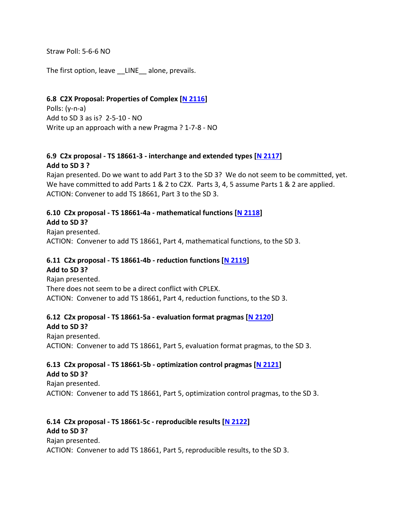Straw Poll: 5-6-6 NO

The first option, leave LINE alone, prevails.

#### **6.8 C2X Proposal: Properties of Complex [\[N 2116\]](http://www.open-std.org/jtc1/sc22/wg14/www/docs/n2116.htm)**

Polls: (y-n-a) Add to SD 3 as is? 2-5-10 - NO Write up an approach with a new Pragma ? 1-7-8 - NO

# **6.9 C2x proposal - TS 18661-3 - interchange and extended types [\[N 2117\]](http://www.open-std.org/jtc1/sc22/wg14/www/docs/n2117.pdf) Add to SD 3 ?**

Rajan presented. Do we want to add Part 3 to the SD 3? We do not seem to be committed, yet. We have committed to add Parts 1 & 2 to C2X. Parts 3, 4, 5 assume Parts 1 & 2 are applied. ACTION: Convener to add TS 18661, Part 3 to the SD 3.

# **6.10 C2x proposal - TS 18661-4a - mathematical functions [\[N 2118\]](http://www.open-std.org/jtc1/sc22/wg14/www/docs/n2118.pdf)**

**Add to SD 3?** Rajan presented. ACTION: Convener to add TS 18661, Part 4, mathematical functions, to the SD 3.

# **6.11 C2x proposal - TS 18661-4b - reduction functions [\[N 2119\]](http://www.open-std.org/jtc1/sc22/wg14/www/docs/n2119.pdf)**

**Add to SD 3?** Rajan presented. There does not seem to be a direct conflict with CPLEX. ACTION: Convener to add TS 18661, Part 4, reduction functions, to the SD 3.

# **6.12 C2x proposal - TS 18661-5a - evaluation format pragmas [\[N 2120\]](http://www.open-std.org/jtc1/sc22/wg14/www/docs/n2120.pdf)**

**Add to SD 3?**

Rajan presented. ACTION: Convener to add TS 18661, Part 5, evaluation format pragmas, to the SD 3.

#### **6.13 C2x proposal - TS 18661-5b - optimization control pragmas [\[N 2121\]](http://www.open-std.org/jtc1/sc22/wg14/www/docs/n2121.pdf) Add to SD 3?**

Rajan presented. ACTION: Convener to add TS 18661, Part 5, optimization control pragmas, to the SD 3.

#### **6.14 C2x proposal - TS 18661-5c - reproducible results [\[N 2122\]](http://www.open-std.org/jtc1/sc22/wg14/www/docs/n2122.pdf) Add to SD 3?**

Rajan presented. ACTION: Convener to add TS 18661, Part 5, reproducible results, to the SD 3.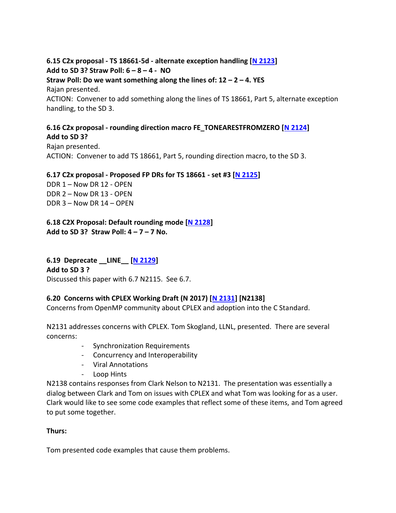**6.15 C2x proposal - TS 18661-5d - alternate exception handling [\[N 2123\]](http://www.open-std.org/jtc1/sc22/wg14/www/docs/n2123.pdf) Add to SD 3? Straw Poll: 6 – 8 – 4 - NO Straw Poll: Do we want something along the lines of: 12 – 2 – 4. YES** Rajan presented. ACTION: Convener to add something along the lines of TS 18661, Part 5, alternate exception handling, to the SD 3.

### **6.16 C2x proposal - rounding direction macro FE\_TONEARESTFROMZERO [\[N 2124\]](http://www.open-std.org/jtc1/sc22/wg14/www/docs/n2124.pdf) Add to SD 3?**

Rajan presented. ACTION: Convener to add TS 18661, Part 5, rounding direction macro, to the SD 3.

**6.17 C2x proposal - Proposed FP DRs for TS 18661 - set #3 [\[N 2125\]](http://www.open-std.org/jtc1/sc22/wg14/www/docs/n2125.pdf)**

DDR 1 – Now DR 12 - OPEN DDR 2 – Now DR 13 - OPEN DDR 3 – Now DR 14 – OPEN

**6.18 C2X Proposal: Default rounding mode [\[N 2128\]](http://www.open-std.org/jtc1/sc22/wg14/www/docs/n2128.htm) Add to SD 3? Straw Poll: 4 – 7 – 7 No.**

**6.19 Deprecate \_\_LINE\_\_ [\[N 2129\]](http://www.open-std.org/jtc1/sc22/wg14/www/docs/n2129.pdf) Add to SD 3 ?** Discussed this paper with 6.7 N2115. See 6.7.

# **6.20 Concerns with CPLEX Working Draft (N 2017) [\[N 2131\]](http://www.open-std.org/jtc1/sc22/wg14/www/docs/n2131.htm) [N2138]**

Concerns from OpenMP community about CPLEX and adoption into the C Standard.

N2131 addresses concerns with CPLEX. Tom Skogland, LLNL, presented. There are several concerns:

- Synchronization Requirements
- Concurrency and Interoperability
- Viral Annotations
- Loop Hints

N2138 contains responses from Clark Nelson to N2131. The presentation was essentially a dialog between Clark and Tom on issues with CPLEX and what Tom was looking for as a user. Clark would like to see some code examples that reflect some of these items, and Tom agreed to put some together.

#### **Thurs:**

Tom presented code examples that cause them problems.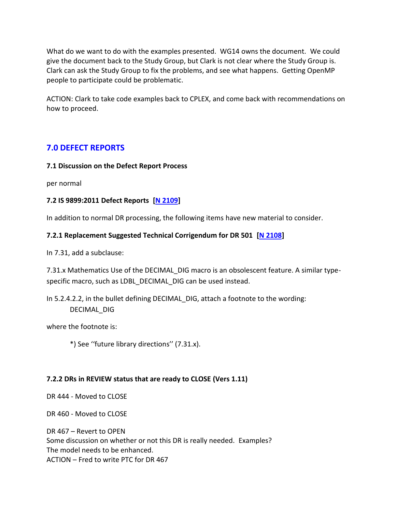What do we want to do with the examples presented. WG14 owns the document. We could give the document back to the Study Group, but Clark is not clear where the Study Group is. Clark can ask the Study Group to fix the problems, and see what happens. Getting OpenMP people to participate could be problematic.

ACTION: Clark to take code examples back to CPLEX, and come back with recommendations on how to proceed.

# **7.0 DEFECT REPORTS**

### **7.1 Discussion on the Defect Report Process**

per normal

### **7.2 IS 9899:2011 Defect Reports [\[N 2109\]](http://www.open-std.org/jtc1/sc22/wg14/www/docs/n2109.htm)**

In addition to normal DR processing, the following items have new material to consider.

### **7.2.1 Replacement Suggested Technical Corrigendum for DR 501 [\[N 2108\]](http://www.open-std.org/jtc1/sc22/wg14/www/docs/n2108.pdf)**

In 7.31, add a subclause:

7.31.x Mathematics Use of the DECIMAL DIG macro is an obsolescent feature. A similar typespecific macro, such as LDBL\_DECIMAL\_DIG can be used instead.

In 5.2.4.2.2, in the bullet defining DECIMAL\_DIG, attach a footnote to the wording: DECIMAL\_DIG

where the footnote is:

\*) See ''future library directions'' (7.31.x).

# **7.2.2 DRs in REVIEW status that are ready to CLOSE (Vers 1.11)**

DR 444 - Moved to CLOSE

DR 460 - Moved to CLOSE

DR 467 – Revert to OPEN Some discussion on whether or not this DR is really needed. Examples? The model needs to be enhanced. ACTION – Fred to write PTC for DR 467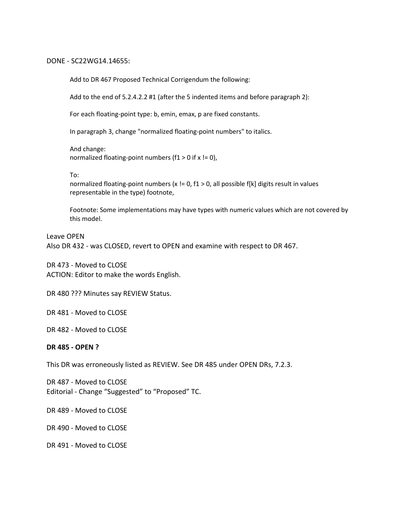#### DONE - SC22WG14.14655:

Add to DR 467 Proposed Technical Corrigendum the following:

Add to the end of 5.2.4.2.2 #1 (after the 5 indented items and before paragraph 2):

For each floating-point type: b, emin, emax, p are fixed constants.

In paragraph 3, change "normalized floating-point numbers" to italics.

And change: normalized floating-point numbers ( $f1 > 0$  if  $x = 0$ ),

#### To:

normalized floating-point numbers (x  $!=$  0, f1 > 0, all possible f[k] digits result in values representable in the type) footnote,

Footnote: Some implementations may have types with numeric values which are not covered by this model.

Leave OPEN Also DR 432 - was CLOSED, revert to OPEN and examine with respect to DR 467.

DR 473 - Moved to CLOSE ACTION: Editor to make the words English.

DR 480 ??? Minutes say REVIEW Status.

DR 481 - Moved to CLOSE

DR 482 - Moved to CLOSE

#### **DR 485 - OPEN ?**

This DR was erroneously listed as REVIEW. See DR 485 under OPEN DRs, 7.2.3.

DR 487 - Moved to CLOSE Editorial - Change "Suggested" to "Proposed" TC.

DR 489 - Moved to CLOSE

DR 490 - Moved to CLOSE

DR 491 - Moved to CLOSE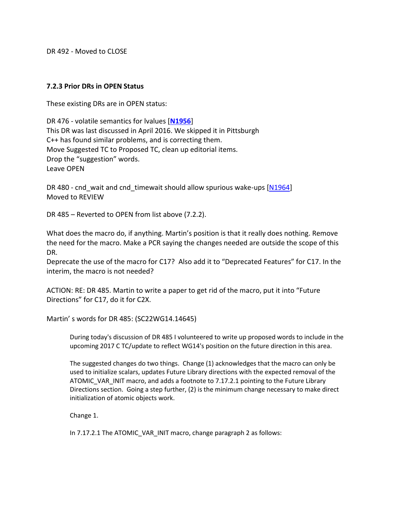DR 492 - Moved to CLOSE

#### **7.2.3 Prior DRs in OPEN Status**

These existing DRs are in OPEN status:

DR 476 - volatile semantics for lvalues [**[N1956](http://www.open-std.org/jtc1/sc22/wg14/www/docs/n1956.htm)**] This DR was last discussed in April 2016. We skipped it in Pittsburgh C++ has found similar problems, and is correcting them. Move Suggested TC to Proposed TC, clean up editorial items. Drop the "suggestion" words. Leave OPEN

DR 480 - cnd wait and cnd timewait should allow spurious wake-ups [\[N1964\]](http://www.open-std.org/jtc1/sc22/wg14/www/docs/n1964.htm) Moved to REVIEW

DR 485 – Reverted to OPEN from list above (7.2.2).

What does the macro do, if anything. Martin's position is that it really does nothing. Remove the need for the macro. Make a PCR saying the changes needed are outside the scope of this DR.

Deprecate the use of the macro for C17? Also add it to "Deprecated Features" for C17. In the interim, the macro is not needed?

ACTION: RE: DR 485. Martin to write a paper to get rid of the macro, put it into "Future Directions" for C17, do it for C2X.

Martin' s words for DR 485: (SC22WG14.14645)

During today's discussion of DR 485 I volunteered to write up proposed words to include in the upcoming 2017 C TC/update to reflect WG14's position on the future direction in this area.

The suggested changes do two things. Change (1) acknowledges that the macro can only be used to initialize scalars, updates Future Library directions with the expected removal of the ATOMIC VAR INIT macro, and adds a footnote to 7.17.2.1 pointing to the Future Library Directions section. Going a step further, (2) is the minimum change necessary to make direct initialization of atomic objects work.

Change 1.

In 7.17.2.1 The ATOMIC\_VAR\_INIT macro, change paragraph 2 as follows: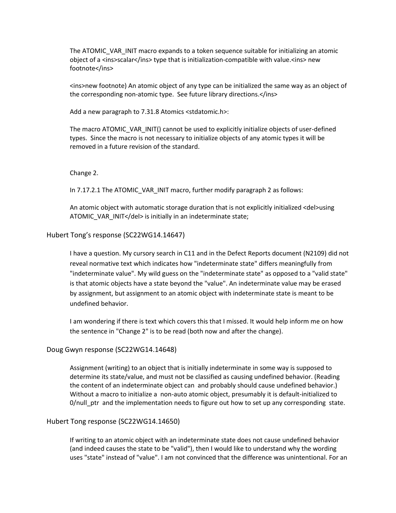The ATOMIC\_VAR\_INIT macro expands to a token sequence suitable for initializing an atomic object of a <ins>scalar</ins> type that is initialization-compatible with value.<ins> new footnote</ins>

<ins>new footnote) An atomic object of any type can be initialized the same way as an object of the corresponding non-atomic type. See future library directions.</ins>

Add a new paragraph to 7.31.8 Atomics <stdatomic.h>:

The macro ATOMIC\_VAR\_INIT() cannot be used to explicitly initialize objects of user-defined types. Since the macro is not necessary to initialize objects of any atomic types it will be removed in a future revision of the standard.

#### Change 2.

In 7.17.2.1 The ATOMIC\_VAR\_INIT macro, further modify paragraph 2 as follows:

An atomic object with automatic storage duration that is not explicitly initialized <del>using ATOMIC\_VAR\_INIT</del> is initially in an indeterminate state;

#### Hubert Tong's response (SC22WG14.14647)

I have a question. My cursory search in C11 and in the Defect Reports document (N2109) did not reveal normative text which indicates how "indeterminate state" differs meaningfully from "indeterminate value". My wild guess on the "indeterminate state" as opposed to a "valid state" is that atomic objects have a state beyond the "value". An indeterminate value may be erased by assignment, but assignment to an atomic object with indeterminate state is meant to be undefined behavior.

I am wondering if there is text which covers this that I missed. It would help inform me on how the sentence in "Change 2" is to be read (both now and after the change).

#### Doug Gwyn response (SC22WG14.14648)

Assignment (writing) to an object that is initially indeterminate in some way is supposed to determine its state/value, and must not be classified as causing undefined behavior. (Reading the content of an indeterminate object can and probably should cause undefined behavior.) Without a macro to initialize a non-auto atomic object, presumably it is default-initialized to 0/null\_ptr and the implementation needs to figure out how to set up any corresponding state.

#### Hubert Tong response (SC22WG14.14650)

If writing to an atomic object with an indeterminate state does not cause undefined behavior (and indeed causes the state to be "valid"), then I would like to understand why the wording uses "state" instead of "value". I am not convinced that the difference was unintentional. For an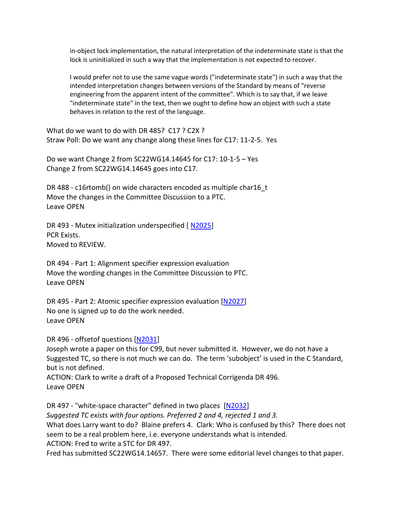in-object lock implementation, the natural interpretation of the indeterminate state is that the lock is uninitialized in such a way that the implementation is not expected to recover.

I would prefer not to use the same vague words ("indeterminate state") in such a way that the intended interpretation changes between versions of the Standard by means of "reverse engineering from the apparent intent of the committee". Which is to say that, if we leave "indeterminate state" in the text, then we ought to define how an object with such a state behaves in relation to the rest of the language.

What do we want to do with DR 485? C17 ? C2X ? Straw Poll: Do we want any change along these lines for C17: 11-2-5. Yes

Do we want Change 2 from SC22WG14.14645 for C17: 10-1-5 – Yes Change 2 from SC22WG14.14645 goes into C17.

DR 488 - c16rtomb() on wide characters encoded as multiple char16 t Move the changes in the Committee Discussion to a PTC. Leave OPEN

DR 493 - Mutex initialization underspecified [ [N2025\]](http://www.open-std.org/jtc1/sc22/wg14/www/docs/n2025.) PCR Exists. Moved to REVIEW.

DR 494 - Part 1: Alignment specifier expression evaluation Move the wording changes in the Committee Discussion to PTC. Leave OPEN

DR 495 - Part 2: Atomic specifier expression evaluation [\[N2027\]](http://www.open-std.org/jtc1/sc22/wg14/www/docs/n2027.) No one is signed up to do the work needed. Leave OPEN

DR 496 - offsetof questions [\[N2031\]](http://www.open-std.org/jtc1/sc22/wg14/www/docs/n2031.)

Joseph wrote a paper on this for C99, but never submitted it. However, we do not have a Suggested TC, so there is not much we can do. The term 'subobject' is used in the C Standard, but is not defined.

ACTION: Clark to write a draft of a Proposed Technical Corrigenda DR 496. Leave OPEN

DR 497 - "white-space character" defined in two places [\[N2032\]](http://www.open-std.org/jtc1/sc22/wg14/www/docs/n2032.) *Suggested TC exists with four options. Preferred 2 and 4, rejected 1 and 3.* What does Larry want to do? Blaine prefers 4. Clark: Who is confused by this? There does not seem to be a real problem here, i.e. everyone understands what is intended. ACTION: Fred to write a STC for DR 497.

Fred has submitted SC22WG14.14657. There were some editorial level changes to that paper.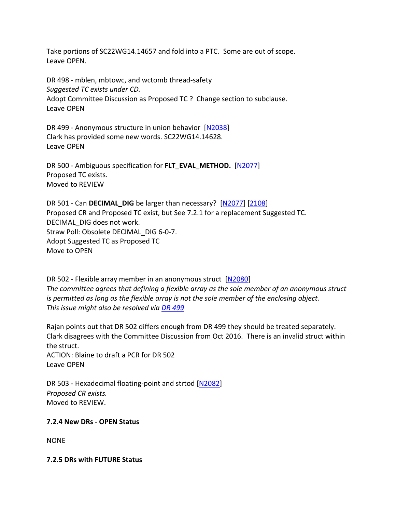Take portions of SC22WG14.14657 and fold into a PTC. Some are out of scope. Leave OPEN.

DR 498 - mblen, mbtowc, and wctomb thread-safety *Suggested TC exists under CD.* Adopt Committee Discussion as Proposed TC ? Change section to subclause. Leave OPEN

DR 499 - Anonymous structure in union behavior [\[N2038\]](http://www.open-std.org/jtc1/sc22/wg14/www/docs/n2038) Clark has provided some new words. SC22WG14.14628. Leave OPEN

DR 500 - Ambiguous specification for **FLT\_EVAL\_METHOD.** [\[N2077\]](http://www.open-std.org/jtc1/sc22/wg14/www/docs/n2077.html) Proposed TC exists. Moved to REVIEW

DR 501 - Can **DECIMAL\_DIG** be larger than necessary? [\[N2077\]](http://www.open-std.org/jtc1/sc22/wg14/www/docs/n2077.html) [\[2108\]](http://www.open-std.org/JTC1/SC22/WG14/www/docs/n2108.pdf) Proposed CR and Proposed TC exist, but See 7.2.1 for a replacement Suggested TC. DECIMAL\_DIG does not work. Straw Poll: Obsolete DECIMAL\_DIG 6-0-7. Adopt Suggested TC as Proposed TC Move to OPEN

DR 502 - Flexible array member in an anonymous struct [\[N2080\]](http://www.open-std.org/jtc1/sc22/wg14/www/docs/n2080.htm) *The committee agrees that defining a flexible array as the sole member of an anonymous struct is permitted as long as the flexible array is not the sole member of the enclosing object. This issue might also be resolved via [DR 499](http://www.open-std.org/jtc1/sc22/wg14/www/docs/summary.htm#dr_499)*

Rajan points out that DR 502 differs enough from DR 499 they should be treated separately. Clark disagrees with the Committee Discussion from Oct 2016. There is an invalid struct within the struct. ACTION: Blaine to draft a PCR for DR 502 Leave OPEN

DR 503 - Hexadecimal floating-point and strtod [\[N2082\]](http://www.open-std.org/jtc1/sc22/wg14/www/docs/n2082.htm) *Proposed CR exists.* Moved to REVIEW.

#### **7.2.4 New DRs - OPEN Status**

**NONE** 

**7.2.5 DRs with FUTURE Status**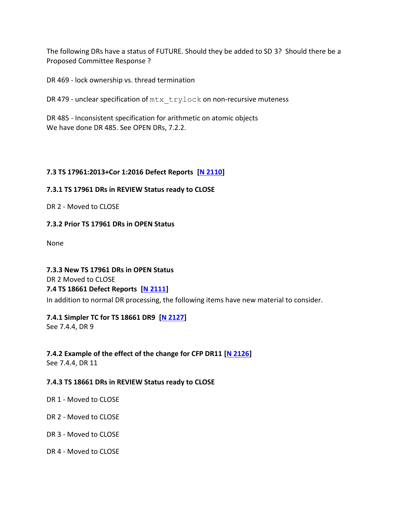The following DRs have a status of FUTURE. Should they be added to SD 3? Should there be a Proposed Committee Response ?

DR 469 - lock ownership vs. thread termination

DR 479 - unclear specification of  $mtx$  trylock on non-recursive muteness

DR 485 - Inconsistent specification for arithmetic on atomic objects We have done DR 485. See OPEN DRs, 7.2.2.

### **7.3 TS 17961:2013+Cor 1:2016 Defect Reports [N [2110\]](http://www.open-std.org/jtc1/sc22/wg14/www/docs/n2110.htm)**

#### **7.3.1 TS 17961 DRs in REVIEW Status ready to CLOSE**

DR 2 - Moved to CLOSE

#### **7.3.2 Prior TS 17961 DRs in OPEN Status**

None

**7.3.3 New TS 17961 DRs in OPEN Status**  DR 2 Moved to CLOSE **7.4 TS 18661 Defect Reports [\[N 2111\]](http://www.open-std.org/jtc1/sc22/wg14/www/docs/n2111.htm)** In addition to normal DR processing, the following items have new material to consider.

# **7.4.1 Simpler TC for TS 18661 DR9 [\[N 2127\]](http://www.open-std.org/jtc1/sc22/wg14/www/docs/n2127.pdf)**

See 7.4.4, DR 9

# **7.4.2 Example of the effect of the change for CFP DR11 [\[N 2126\]](http://www.open-std.org/jtc1/sc22/wg14/www/docs/n2126.htm)**

See 7.4.4, DR 11

#### **7.4.3 TS 18661 DRs in REVIEW Status ready to CLOSE**

- DR 1 Moved to CLOSE
- DR 2 Moved to CLOSE
- DR 3 Moved to CLOSE
- DR 4 Moved to CLOSE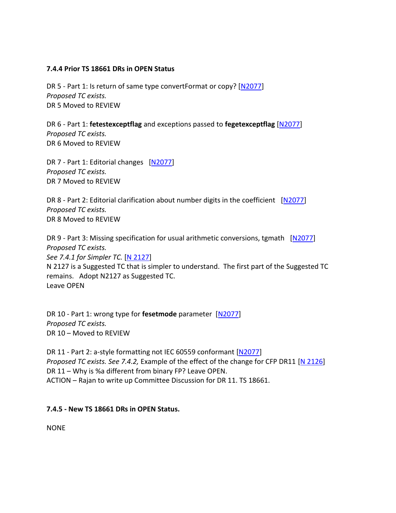#### **7.4.4 Prior TS 18661 DRs in OPEN Status**

DR 5 - Part 1: Is return of same type convertFormat or copy? [\[N2077\]](http://www.open-std.org/jtc1/sc22/wg14/www/docs/n2077.pdf) *Proposed TC exists.* DR 5 Moved to REVIEW

DR 6 - Part 1: **fetestexceptflag** and exceptions passed to **fegetexceptflag** [\[N2077\]](http://www.open-std.org/jtc1/sc22/wg14/www/docs/n2077.pdf) *Proposed TC exists.* DR 6 Moved to REVIEW

DR 7 - Part 1: Editorial changes [\[N2077\]](http://www.open-std.org/jtc1/sc22/wg14/www/docs/n2077.pdf) *Proposed TC exists.* DR 7 Moved to REVIEW

DR 8 - Part 2: Editorial clarification about number digits in the coefficient [\[N2077\]](http://www.open-std.org/jtc1/sc22/wg14/www/docs/n2077.pdf) *Proposed TC exists.* DR 8 Moved to REVIEW

DR 9 - Part 3: Missing specification for usual arithmetic conversions, tgmath [\[N2077\]](http://www.open-std.org/jtc1/sc22/wg14/www/docs/n2077.pdf) *Proposed TC exists. See 7.4.1 for Simpler TC.* [\[N 2127\]](http://www.open-std.org/jtc1/sc22/wg14/www/docs/n2127.pdf) N 2127 is a Suggested TC that is simpler to understand. The first part of the Suggested TC remains. Adopt N2127 as Suggested TC. Leave OPEN

DR 10 - Part 1: wrong type for **fesetmode** parameter [\[N2077\]](http://www.open-std.org/jtc1/sc22/wg14/www/docs/n2077.pdf) *Proposed TC exists.* DR 10 – Moved to REVIEW

DR 11 - Part 2: a-style formatting not IEC 60559 conformant [\[N2077\]](http://www.open-std.org/jtc1/sc22/wg14/www/docs/n2077.pdf) *Proposed TC exists. See 7.4.2,* Example of the effect of the change for CFP DR11 [\[N 2126\]](http://www.open-std.org/jtc1/sc22/wg14/www/docs/n2126.htm) DR 11 – Why is %a different from binary FP? Leave OPEN. ACTION – Rajan to write up Committee Discussion for DR 11. TS 18661.

#### **7.4.5 - New TS 18661 DRs in OPEN Status.**

NONE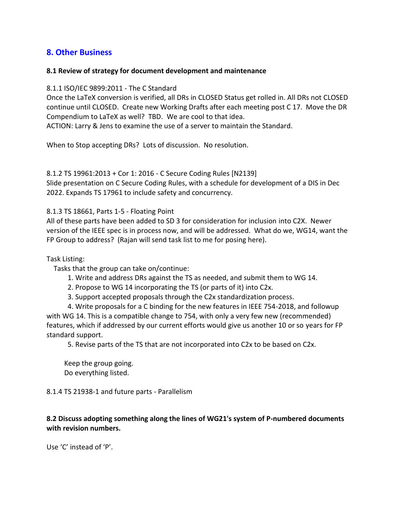# **8. Other Business**

#### **8.1 Review of strategy for document development and maintenance**

#### 8.1.1 ISO/IEC 9899:2011 - The C Standard

Once the LaTeX conversion is verified, all DRs in CLOSED Status get rolled in. All DRs not CLOSED continue until CLOSED. Create new Working Drafts after each meeting post C 17. Move the DR Compendium to LaTeX as well? TBD. We are cool to that idea.

ACTION: Larry & Jens to examine the use of a server to maintain the Standard.

When to Stop accepting DRs? Lots of discussion. No resolution.

8.1.2 TS 19961:2013 + Cor 1: 2016 - C Secure Coding Rules [N2139] Slide presentation on C Secure Coding Rules, with a schedule for development of a DIS in Dec 2022. Expands TS 17961 to include safety and concurrency.

8.1.3 TS 18661, Parts 1-5 - Floating Point

All of these parts have been added to SD 3 for consideration for inclusion into C2X. Newer version of the IEEE spec is in process now, and will be addressed. What do we, WG14, want the FP Group to address? (Rajan will send task list to me for posing here).

Task Listing:

Tasks that the group can take on/continue:

- 1. Write and address DRs against the TS as needed, and submit them to WG 14.
- 2. Propose to WG 14 incorporating the TS (or parts of it) into C2x.
- 3. Support accepted proposals through the C2x standardization process.

4. Write proposals for a C binding for the new features in IEEE 754-2018, and followup with WG 14. This is a compatible change to 754, with only a very few new (recommended) features, which if addressed by our current efforts would give us another 10 or so years for FP standard support.

5. Revise parts of the TS that are not incorporated into C2x to be based on C2x.

Keep the group going. Do everything listed.

8.1.4 TS 21938-1 and future parts - Parallelism

# **8.2 Discuss adopting something along the lines of WG21's system of P-numbered documents with revision numbers.**

Use 'C' instead of 'P'.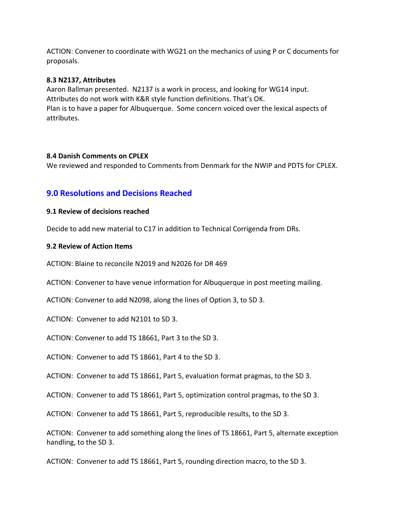ACTION: Convener to coordinate with WG21 on the mechanics of using P or C documents for proposals.

#### **8.3 N2137, Attributes**

Aaron Ballman presented. N2137 is a work in process, and looking for WG14 input. Attributes do not work with K&R style function definitions. That's OK. Plan is to have a paper for Albuquerque. Some concern voiced over the lexical aspects of attributes.

#### **8.4 Danish Comments on CPLEX**

We reviewed and responded to Comments from Denmark for the NWIP and PDTS for CPLEX.

# **9.0 Resolutions and Decisions Reached**

#### **9.1 Review of decisions reached**

Decide to add new material to C17 in addition to Technical Corrigenda from DRs.

#### **9.2 Review of Action Items**

ACTION: Blaine to reconcile N2019 and N2026 for DR 469

ACTION: Convener to have venue information for Albuquerque in post meeting mailing.

ACTION: Convener to add N2098, along the lines of Option 3, to SD 3.

ACTION: Convener to add N2101 to SD 3.

ACTION: Convener to add TS 18661, Part 3 to the SD 3.

ACTION: Convener to add TS 18661, Part 4 to the SD 3.

ACTION: Convener to add TS 18661, Part 5, evaluation format pragmas, to the SD 3.

ACTION: Convener to add TS 18661, Part 5, optimization control pragmas, to the SD 3.

ACTION: Convener to add TS 18661, Part 5, reproducible results, to the SD 3.

ACTION: Convener to add something along the lines of TS 18661, Part 5, alternate exception handling, to the SD 3.

ACTION: Convener to add TS 18661, Part 5, rounding direction macro, to the SD 3.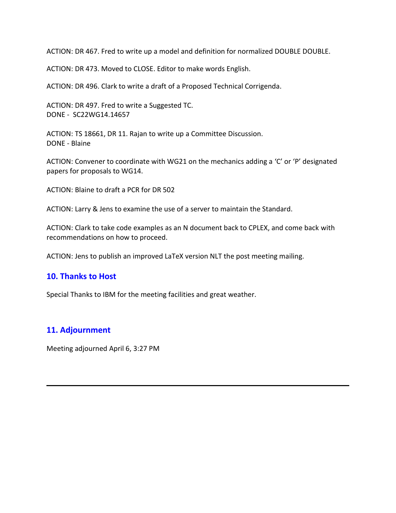ACTION: DR 467. Fred to write up a model and definition for normalized DOUBLE DOUBLE.

ACTION: DR 473. Moved to CLOSE. Editor to make words English.

ACTION: DR 496. Clark to write a draft of a Proposed Technical Corrigenda.

ACTION: DR 497. Fred to write a Suggested TC. DONE - SC22WG14.14657

ACTION: TS 18661, DR 11. Rajan to write up a Committee Discussion. DONE - Blaine

ACTION: Convener to coordinate with WG21 on the mechanics adding a 'C' or 'P' designated papers for proposals to WG14.

ACTION: Blaine to draft a PCR for DR 502

ACTION: Larry & Jens to examine the use of a server to maintain the Standard.

ACTION: Clark to take code examples as an N document back to CPLEX, and come back with recommendations on how to proceed.

ACTION: Jens to publish an improved LaTeX version NLT the post meeting mailing.

# **10. Thanks to Host**

Special Thanks to IBM for the meeting facilities and great weather.

# **11. Adjournment**

Meeting adjourned April 6, 3:27 PM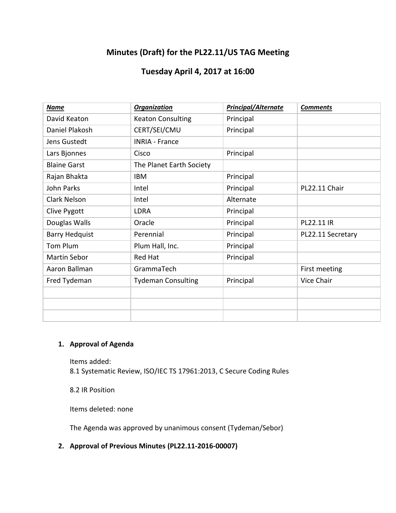# **Minutes (Draft) for the PL22.11/US TAG Meeting**

# **Tuesday April 4, 2017 at 16:00**

| Name                  | <b>Organization</b>       | <b>Principal/Alternate</b> | <b>Comments</b>   |
|-----------------------|---------------------------|----------------------------|-------------------|
| David Keaton          | <b>Keaton Consulting</b>  | Principal                  |                   |
| Daniel Plakosh        | CERT/SEI/CMU              | Principal                  |                   |
| Jens Gustedt          | <b>INRIA - France</b>     |                            |                   |
| Lars Bjonnes          | Cisco                     | Principal                  |                   |
| <b>Blaine Garst</b>   | The Planet Earth Society  |                            |                   |
| Rajan Bhakta          | <b>IBM</b>                | Principal                  |                   |
| John Parks            | Intel                     | Principal                  | PL22.11 Chair     |
| Clark Nelson          | Intel                     | Alternate                  |                   |
| Clive Pygott          | <b>LDRA</b>               | Principal                  |                   |
| Douglas Walls         | Oracle                    | Principal                  | PL22.11 IR        |
| <b>Barry Hedquist</b> | Perennial                 | Principal                  | PL22.11 Secretary |
| Tom Plum              | Plum Hall, Inc.           | Principal                  |                   |
| Martin Sebor          | <b>Red Hat</b>            | Principal                  |                   |
| Aaron Ballman         | GrammaTech                |                            | First meeting     |
| Fred Tydeman          | <b>Tydeman Consulting</b> | Principal                  | Vice Chair        |
|                       |                           |                            |                   |
|                       |                           |                            |                   |
|                       |                           |                            |                   |

# **1. Approval of Agenda**

Items added: 8.1 Systematic Review, ISO/IEC TS 17961:2013, C Secure Coding Rules

8.2 IR Position

Items deleted: none

The Agenda was approved by unanimous consent (Tydeman/Sebor)

# **2. Approval of Previous Minutes (PL22.11-2016-00007)**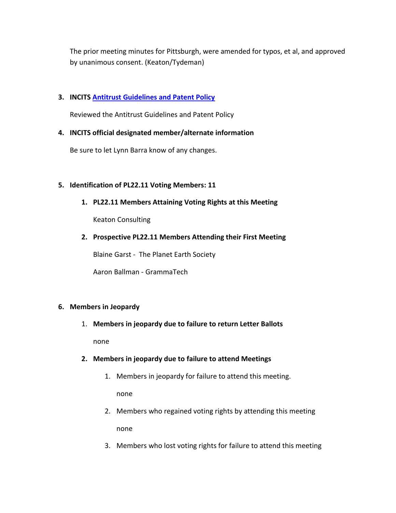The prior meeting minutes for Pittsburgh, were amended for typos, et al, and approved by unanimous consent. (Keaton/Tydeman)

## **3. INCITS [Antitrust Guidelines and Patent Policy](http://www.incits.org/standards-information/legal-info)**

Reviewed the Antitrust Guidelines and Patent Policy

### **4. INCITS official designated member/alternate information**

Be sure to let Lynn Barra know of any changes.

### **5. Identification of PL22.11 Voting Members: 11**

**1. PL22.11 Members Attaining Voting Rights at this Meeting**

Keaton Consulting

**2. Prospective PL22.11 Members Attending their First Meeting**

Blaine Garst - The Planet Earth Society

Aaron Ballman - GrammaTech

#### **6. Members in Jeopardy**

1. **Members in jeopardy due to failure to return Letter Ballots**

none

#### **2. Members in jeopardy due to failure to attend Meetings**

1. Members in jeopardy for failure to attend this meeting.

none

- 2. Members who regained voting rights by attending this meeting none
- 3. Members who lost voting rights for failure to attend this meeting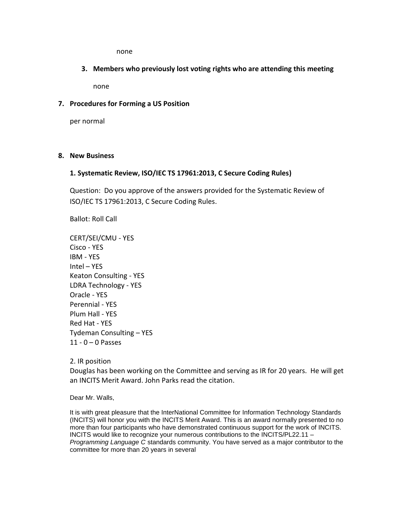none

**3. Members who previously lost voting rights who are attending this meeting**

none

#### **7. Procedures for Forming a US Position**

per normal

#### **8. New Business**

#### **1. Systematic Review, ISO/IEC TS 17961:2013, C Secure Coding Rules)**

Question: Do you approve of the answers provided for the Systematic Review of ISO/IEC TS 17961:2013, C Secure Coding Rules.

Ballot: Roll Call

CERT/SEI/CMU - YES Cisco - YES IBM - YES Intel – YES Keaton Consulting - YES LDRA Technology - YES Oracle - YES Perennial - YES Plum Hall - YES Red Hat - YES Tydeman Consulting – YES  $11 - 0 - 0$  Passes

2. IR position

Douglas has been working on the Committee and serving as IR for 20 years. He will get an INCITS Merit Award. John Parks read the citation.

Dear Mr. Walls,

It is with great pleasure that the InterNational Committee for Information Technology Standards (INCITS) will honor you with the INCITS Merit Award. This is an award normally presented to no more than four participants who have demonstrated continuous support for the work of INCITS. INCITS would like to recognize your numerous contributions to the INCITS/PL22.11 – *Programming Language C* standards community. You have served as a major contributor to the committee for more than 20 years in several